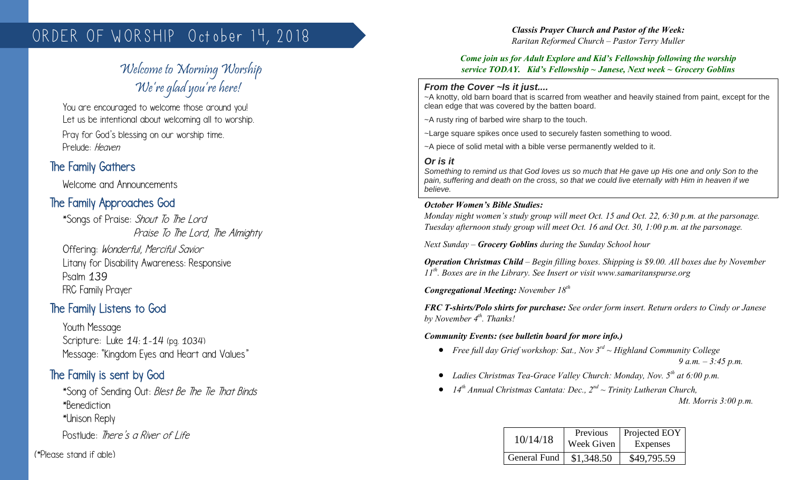# ORDER OF WORSHIP October 14, 2018

# Welcome to Morning Worship We're glad you're here!

You are encouraged to welcome those around you! Let us be intentional about welcoming all to worship.

Pray for God's blessing on our worship time. Prelude: Heaven

# The Family Gathers

Welcome and Announcements

# The Family Approaches God

\*Songs of Praise: Shout To The Lord Praise To The Lord, The Almighty

Offering: Wonderful, Merciful Savior Litany for Disability Awareness: Responsive Psalm 139 FRC Family Prayer

# The Family Listens to God

Youth Message Scripture: Luke 14: 1-14 (pg. 1034) Message: "Kingdom Eyes and Heart and Values"

## The Family is sent by God

\*Song of Sending Out: Blest Be The Tie That Binds \*Benediction

\*Unison Reply

Postlude: There's a River of Life

(\*Please stand if able)

#### *Classis Prayer Church and Pastor of the Week: Raritan Reformed Church – Pastor Terry Muller*

#### *Come join us for Adult Explore and Kid's Fellowship following the worship service TODAY. Kid's Fellowship ~ Janese, Next week ~ Grocery Goblins*

#### *From the Cover ~Is it just....*

~A knotty, old barn board that is scarred from weather and heavily stained from paint, except for the clean edge that was covered by the batten board.

~A rusty ring of barbed wire sharp to the touch.

~Large square spikes once used to securely fasten something to wood.

~A piece of solid metal with a bible verse permanently welded to it.

#### *Or is it*

*Something to remind us that God loves us so much that He gave up His one and only Son to the pain, suffering and death on the cross, so that we could live eternally with Him in heaven if we believe.*

#### *October Women's Bible Studies:*

*Monday night women's study group will meet Oct. 15 and Oct. 22, 6:30 p.m. at the parsonage. Tuesday afternoon study group will meet Oct. 16 and Oct. 30, 1:00 p.m. at the parsonage.*

*Next Sunday – Grocery Goblins during the Sunday School hour*

*Operation Christmas Child – Begin filling boxes. Shipping is \$9.00. All boxes due by November 11th. Boxes are in the Library. See Insert or visit www.samaritanspurse.org*

*Congregational Meeting: November 18th*

*FRC T-shirts/Polo shirts for purchase: See order form insert. Return orders to Cindy or Janese by November 4th. Thanks!*

*Community Events: (see bulletin board for more info.)*

- *Free full day Grief workshop: Sat., Nov 3rd ~ Highland Community College 9 a.m. – 3:45 p.m.*
- *Ladies Christmas Tea-Grace Valley Church: Monday, Nov. 5th at 6:00 p.m.*
- *14th Annual Christmas Cantata: Dec., 2nd ~ Trinity Lutheran Church, Mt. Morris 3:00 p.m.*

| 10/14/18     | Previous<br>Week Given | Projected EOY<br>Expenses |
|--------------|------------------------|---------------------------|
| General Fund | \$1,348.50             | \$49,795.59               |